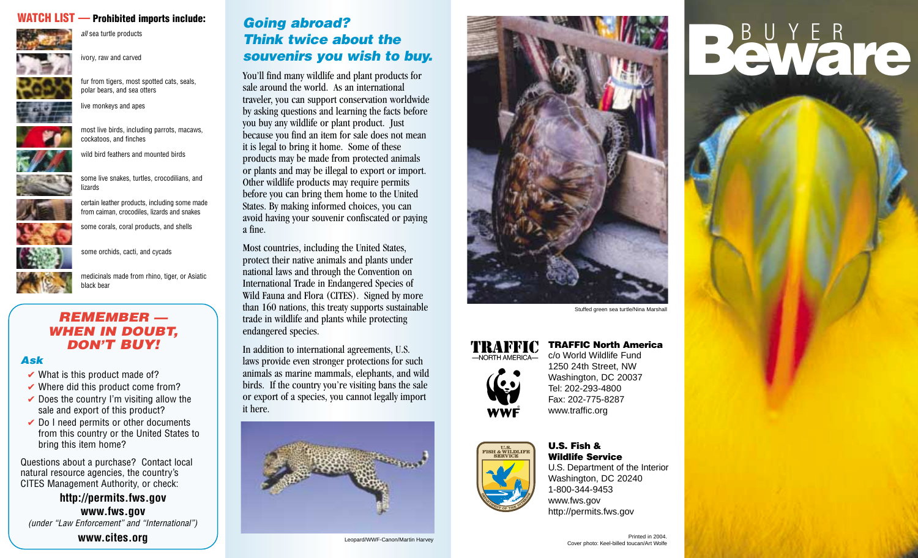### **WATCH LIST — Prohibited imports include:** *Going abroad?*



*all* sea turtle products

ivory, raw and carved



fur from tigers, most spotted cats, seals, polar bears, and sea otters



live monkeys and apes



most live birds, including parrots, macaws, cockatoos, and finches



wild bird feathers and mounted birds



some live snakes, turtles, crocodilians, and lizards



from caiman, crocodiles, lizards and snakes some corals, coral products, and shells



some orchids, cacti, and cycads

medicinals made from rhino, tiger, or Asiatic black bear

#### *REMEMBER — WHEN IN DOUBT, DON'T BUY!*

#### *Ask*

- $\vee$  What is this product made of?
- $\vee$  Where did this product come from?
- $\triangleright$  Does the country I'm visiting allow the sale and export of this product?
- $\vee$  Do I need permits or other documents from this country or the United States to bring this item home?

Questions about a purchase? Contact local natural resource agencies, the country's CITES Management Authority, or check:

**http://permits.fws.gov www.fws.gov** *(under "Law Enforcement" and "International")*

## *Think twice about the souvenirs you wish to buy.*

You'll find many wildlife and plant products for sale around the world. As an international traveler, you can support conservation worldwide by asking questions and learning the facts before you buy any wildlife or plant product. Just because you find an item for sale does not mean it is legal to bring it home. Some of these products may be made from protected animals or plants and may be illegal to export or import. Other wildlife products may require permits before you can bring them home to the United States. By making informed choices, you can avoid having your souvenir confiscated or paying a fine.

Most countries, including the United States, protect their native animals and plants under national laws and through the Convention on International Trade in Endangered Species of Wild Fauna and Flora (CITES). Signed by more than 160 nations, this treaty supports sustainable trade in wildlife and plants while protecting endangered species.

In addition to international agreements, U.S. laws provide even stronger protections for such animals as marine mammals, elephants, and wild birds. If the country you're visiting bans the sale or export of a species, you cannot legally import it here.





# -NORTH AMERICA-





#### **U.S. Fish & Wildlife Service**

U.S. Department of the Interior Washington, DC 20240 1-800-344-9453 www.fws.gov http://permits.fws.gov

# BUYER<br>Beware

**TRAFFIC North America** c/o World Wildlife Fund

1250 24th Street, NW Washington, DC 20037 Tel: 202-293-4800 Fax: 202-775-8287 www.traffic.org